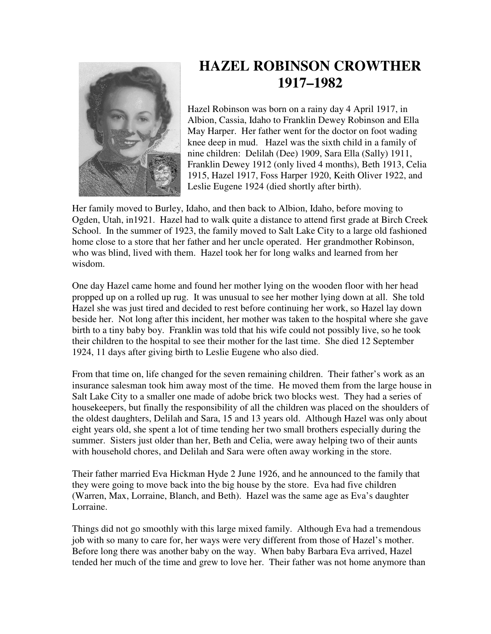

## **HAZEL ROBINSON CROWTHER 1917–1982**

Hazel Robinson was born on a rainy day 4 April 1917, in Albion, Cassia, Idaho to Franklin Dewey Robinson and Ella May Harper. Her father went for the doctor on foot wading knee deep in mud. Hazel was the sixth child in a family of nine children: Delilah (Dee) 1909, Sara Ella (Sally) 1911, Franklin Dewey 1912 (only lived 4 months), Beth 1913, Celia 1915, Hazel 1917, Foss Harper 1920, Keith Oliver 1922, and Leslie Eugene 1924 (died shortly after birth).

Her family moved to Burley, Idaho, and then back to Albion, Idaho, before moving to Ogden, Utah, in1921. Hazel had to walk quite a distance to attend first grade at Birch Creek School. In the summer of 1923, the family moved to Salt Lake City to a large old fashioned home close to a store that her father and her uncle operated. Her grandmother Robinson, who was blind, lived with them. Hazel took her for long walks and learned from her wisdom.

One day Hazel came home and found her mother lying on the wooden floor with her head propped up on a rolled up rug. It was unusual to see her mother lying down at all. She told Hazel she was just tired and decided to rest before continuing her work, so Hazel lay down beside her. Not long after this incident, her mother was taken to the hospital where she gave birth to a tiny baby boy. Franklin was told that his wife could not possibly live, so he took their children to the hospital to see their mother for the last time. She died 12 September 1924, 11 days after giving birth to Leslie Eugene who also died.

From that time on, life changed for the seven remaining children. Their father's work as an insurance salesman took him away most of the time. He moved them from the large house in Salt Lake City to a smaller one made of adobe brick two blocks west. They had a series of housekeepers, but finally the responsibility of all the children was placed on the shoulders of the oldest daughters, Delilah and Sara, 15 and 13 years old. Although Hazel was only about eight years old, she spent a lot of time tending her two small brothers especially during the summer. Sisters just older than her, Beth and Celia, were away helping two of their aunts with household chores, and Delilah and Sara were often away working in the store.

Their father married Eva Hickman Hyde 2 June 1926, and he announced to the family that they were going to move back into the big house by the store. Eva had five children (Warren, Max, Lorraine, Blanch, and Beth). Hazel was the same age as Eva's daughter Lorraine.

Things did not go smoothly with this large mixed family. Although Eva had a tremendous job with so many to care for, her ways were very different from those of Hazel's mother. Before long there was another baby on the way. When baby Barbara Eva arrived, Hazel tended her much of the time and grew to love her. Their father was not home anymore than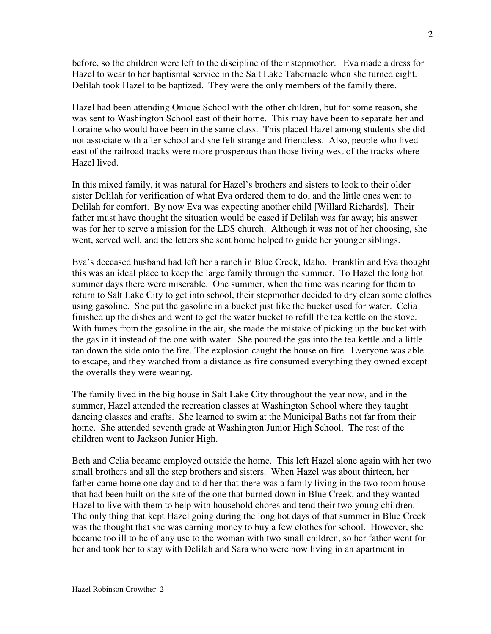before, so the children were left to the discipline of their stepmother. Eva made a dress for Hazel to wear to her baptismal service in the Salt Lake Tabernacle when she turned eight. Delilah took Hazel to be baptized. They were the only members of the family there.

Hazel had been attending Onique School with the other children, but for some reason, she was sent to Washington School east of their home. This may have been to separate her and Loraine who would have been in the same class. This placed Hazel among students she did not associate with after school and she felt strange and friendless. Also, people who lived east of the railroad tracks were more prosperous than those living west of the tracks where Hazel lived.

In this mixed family, it was natural for Hazel's brothers and sisters to look to their older sister Delilah for verification of what Eva ordered them to do, and the little ones went to Delilah for comfort. By now Eva was expecting another child [Willard Richards]. Their father must have thought the situation would be eased if Delilah was far away; his answer was for her to serve a mission for the LDS church. Although it was not of her choosing, she went, served well, and the letters she sent home helped to guide her younger siblings.

Eva's deceased husband had left her a ranch in Blue Creek, Idaho. Franklin and Eva thought this was an ideal place to keep the large family through the summer. To Hazel the long hot summer days there were miserable. One summer, when the time was nearing for them to return to Salt Lake City to get into school, their stepmother decided to dry clean some clothes using gasoline. She put the gasoline in a bucket just like the bucket used for water. Celia finished up the dishes and went to get the water bucket to refill the tea kettle on the stove. With fumes from the gasoline in the air, she made the mistake of picking up the bucket with the gas in it instead of the one with water. She poured the gas into the tea kettle and a little ran down the side onto the fire. The explosion caught the house on fire. Everyone was able to escape, and they watched from a distance as fire consumed everything they owned except the overalls they were wearing.

The family lived in the big house in Salt Lake City throughout the year now, and in the summer, Hazel attended the recreation classes at Washington School where they taught dancing classes and crafts. She learned to swim at the Municipal Baths not far from their home. She attended seventh grade at Washington Junior High School. The rest of the children went to Jackson Junior High.

Beth and Celia became employed outside the home. This left Hazel alone again with her two small brothers and all the step brothers and sisters. When Hazel was about thirteen, her father came home one day and told her that there was a family living in the two room house that had been built on the site of the one that burned down in Blue Creek, and they wanted Hazel to live with them to help with household chores and tend their two young children. The only thing that kept Hazel going during the long hot days of that summer in Blue Creek was the thought that she was earning money to buy a few clothes for school. However, she became too ill to be of any use to the woman with two small children, so her father went for her and took her to stay with Delilah and Sara who were now living in an apartment in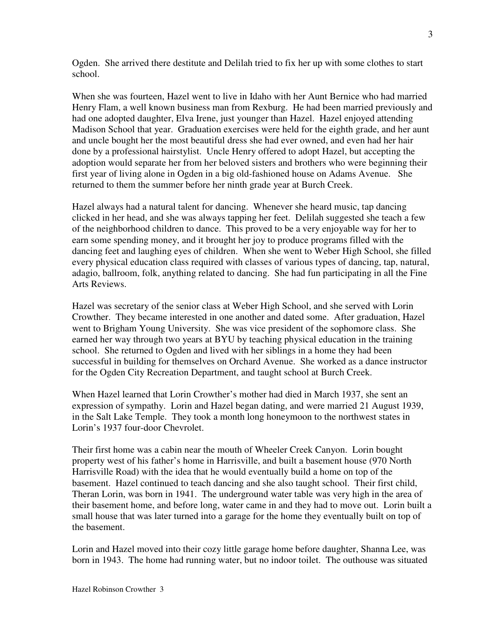Ogden. She arrived there destitute and Delilah tried to fix her up with some clothes to start school.

When she was fourteen, Hazel went to live in Idaho with her Aunt Bernice who had married Henry Flam, a well known business man from Rexburg. He had been married previously and had one adopted daughter, Elva Irene, just younger than Hazel. Hazel enjoyed attending Madison School that year. Graduation exercises were held for the eighth grade, and her aunt and uncle bought her the most beautiful dress she had ever owned, and even had her hair done by a professional hairstylist. Uncle Henry offered to adopt Hazel, but accepting the adoption would separate her from her beloved sisters and brothers who were beginning their first year of living alone in Ogden in a big old-fashioned house on Adams Avenue. She returned to them the summer before her ninth grade year at Burch Creek.

Hazel always had a natural talent for dancing. Whenever she heard music, tap dancing clicked in her head, and she was always tapping her feet. Delilah suggested she teach a few of the neighborhood children to dance. This proved to be a very enjoyable way for her to earn some spending money, and it brought her joy to produce programs filled with the dancing feet and laughing eyes of children. When she went to Weber High School, she filled every physical education class required with classes of various types of dancing, tap, natural, adagio, ballroom, folk, anything related to dancing. She had fun participating in all the Fine Arts Reviews.

Hazel was secretary of the senior class at Weber High School, and she served with Lorin Crowther. They became interested in one another and dated some. After graduation, Hazel went to Brigham Young University. She was vice president of the sophomore class. She earned her way through two years at BYU by teaching physical education in the training school. She returned to Ogden and lived with her siblings in a home they had been successful in building for themselves on Orchard Avenue. She worked as a dance instructor for the Ogden City Recreation Department, and taught school at Burch Creek.

When Hazel learned that Lorin Crowther's mother had died in March 1937, she sent an expression of sympathy. Lorin and Hazel began dating, and were married 21 August 1939, in the Salt Lake Temple. They took a month long honeymoon to the northwest states in Lorin's 1937 four-door Chevrolet.

Their first home was a cabin near the mouth of Wheeler Creek Canyon. Lorin bought property west of his father's home in Harrisville, and built a basement house (970 North Harrisville Road) with the idea that he would eventually build a home on top of the basement. Hazel continued to teach dancing and she also taught school. Their first child, Theran Lorin, was born in 1941. The underground water table was very high in the area of their basement home, and before long, water came in and they had to move out. Lorin built a small house that was later turned into a garage for the home they eventually built on top of the basement.

Lorin and Hazel moved into their cozy little garage home before daughter, Shanna Lee, was born in 1943. The home had running water, but no indoor toilet. The outhouse was situated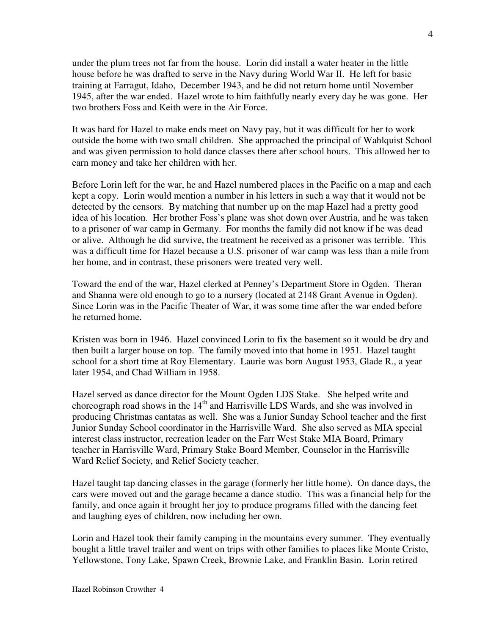under the plum trees not far from the house. Lorin did install a water heater in the little house before he was drafted to serve in the Navy during World War II. He left for basic training at Farragut, Idaho, December 1943, and he did not return home until November 1945, after the war ended. Hazel wrote to him faithfully nearly every day he was gone. Her two brothers Foss and Keith were in the Air Force.

It was hard for Hazel to make ends meet on Navy pay, but it was difficult for her to work outside the home with two small children. She approached the principal of Wahlquist School and was given permission to hold dance classes there after school hours. This allowed her to earn money and take her children with her.

Before Lorin left for the war, he and Hazel numbered places in the Pacific on a map and each kept a copy. Lorin would mention a number in his letters in such a way that it would not be detected by the censors. By matching that number up on the map Hazel had a pretty good idea of his location. Her brother Foss's plane was shot down over Austria, and he was taken to a prisoner of war camp in Germany. For months the family did not know if he was dead or alive. Although he did survive, the treatment he received as a prisoner was terrible. This was a difficult time for Hazel because a U.S. prisoner of war camp was less than a mile from her home, and in contrast, these prisoners were treated very well.

Toward the end of the war, Hazel clerked at Penney's Department Store in Ogden. Theran and Shanna were old enough to go to a nursery (located at 2148 Grant Avenue in Ogden). Since Lorin was in the Pacific Theater of War, it was some time after the war ended before he returned home.

Kristen was born in 1946. Hazel convinced Lorin to fix the basement so it would be dry and then built a larger house on top. The family moved into that home in 1951. Hazel taught school for a short time at Roy Elementary. Laurie was born August 1953, Glade R., a year later 1954, and Chad William in 1958.

Hazel served as dance director for the Mount Ogden LDS Stake. She helped write and choreograph road shows in the  $14<sup>th</sup>$  and Harrisville LDS Wards, and she was involved in producing Christmas cantatas as well. She was a Junior Sunday School teacher and the first Junior Sunday School coordinator in the Harrisville Ward. She also served as MIA special interest class instructor, recreation leader on the Farr West Stake MIA Board, Primary teacher in Harrisville Ward, Primary Stake Board Member, Counselor in the Harrisville Ward Relief Society, and Relief Society teacher.

Hazel taught tap dancing classes in the garage (formerly her little home). On dance days, the cars were moved out and the garage became a dance studio. This was a financial help for the family, and once again it brought her joy to produce programs filled with the dancing feet and laughing eyes of children, now including her own.

Lorin and Hazel took their family camping in the mountains every summer. They eventually bought a little travel trailer and went on trips with other families to places like Monte Cristo, Yellowstone, Tony Lake, Spawn Creek, Brownie Lake, and Franklin Basin. Lorin retired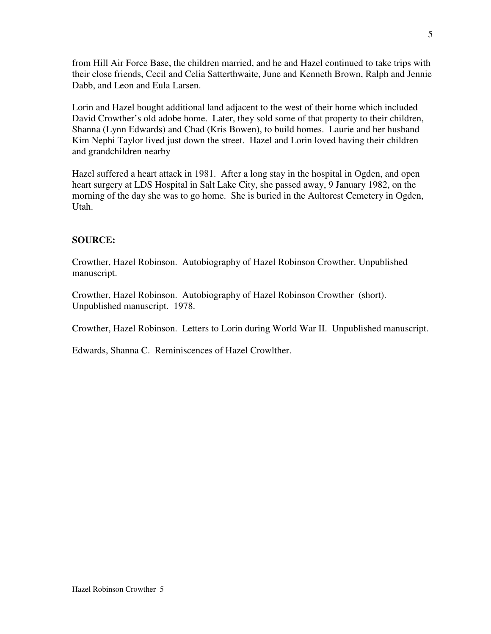from Hill Air Force Base, the children married, and he and Hazel continued to take trips with their close friends, Cecil and Celia Satterthwaite, June and Kenneth Brown, Ralph and Jennie Dabb, and Leon and Eula Larsen.

Lorin and Hazel bought additional land adjacent to the west of their home which included David Crowther's old adobe home. Later, they sold some of that property to their children, Shanna (Lynn Edwards) and Chad (Kris Bowen), to build homes. Laurie and her husband Kim Nephi Taylor lived just down the street. Hazel and Lorin loved having their children and grandchildren nearby

Hazel suffered a heart attack in 1981. After a long stay in the hospital in Ogden, and open heart surgery at LDS Hospital in Salt Lake City, she passed away, 9 January 1982, on the morning of the day she was to go home. She is buried in the Aultorest Cemetery in Ogden, Utah.

## **SOURCE:**

Crowther, Hazel Robinson. Autobiography of Hazel Robinson Crowther. Unpublished manuscript.

Crowther, Hazel Robinson. Autobiography of Hazel Robinson Crowther (short). Unpublished manuscript. 1978.

Crowther, Hazel Robinson. Letters to Lorin during World War II. Unpublished manuscript.

Edwards, Shanna C. Reminiscences of Hazel Crowlther.